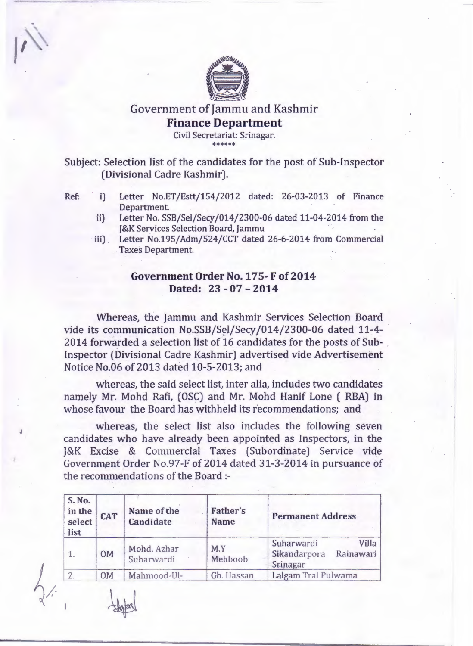

## Government of Jammu and Kashmir **Finance Department**

Civil Secretariat: Srinagar. \*\*\*\*\*\*

Subject: Selection list of the candidates for the post of Sub-Inspector (Divisional Cadre Kashmir).

- Ref: i) Letter No.ET/Estt/154/2012 dated: 26-03-2013 of Finance Department.
	- ii) Letter No. SSB/Sel/Secy/014/2300-06 dated 11-04-2014 from the J&K Services Selection Board, Jammu
	- iii) . Letter No.195/Adm/524/CCT dated 26-6-2014 from Commercial Taxes Department.

## **Government Order No. 175- F of2014 Dated:** 23 - **07 - 2014**

Whereas, the Jammu and Kashmir Services Selection Board vide its communication No.SSB/Sel/Secy/014/2300-06 dated 11-4-2014 forwarded a selection list of 16 candidates for the posts of Sub- . Inspector (Divisional Cadre Kashmir) advertised vide Advertisement Notice No.06 of 2013 dated 10-5-2013; and

whereas, the said select list, inter alia, includes two candidates namely Mr. Mohd Rafi, (OSC) and Mr. Mohd Hanif Lone ( RBA) in whose favour the Board has withheld its recommendations; and

whereas, the select list also includes the following seven candidates who have already been appointed as Inspectors, in the J&K Excise & Commercial Taxes (Subordinate) Service vide Government Order No.97-F of 2014 dated 31-3-2014 in pursuance of the recommendations of the Board :-

| <b>S. No.</b><br>in the<br>select<br>list | <b>CAT</b> | Name of the<br><b>Candidate</b> | Father's<br><b>Name</b> | <b>Permanent Address</b>                                            |  |
|-------------------------------------------|------------|---------------------------------|-------------------------|---------------------------------------------------------------------|--|
|                                           | <b>OM</b>  | Mohd. Azhar<br>Suharwardi       | M.Y<br>Mehboob          | <b>Villa</b><br>Suharwardi<br>Sikandarpora<br>Rainawari<br>Srinagar |  |
|                                           | <b>OM</b>  | Mahmood-Ul-                     | Gh. Hassan              | Lalgam Tral Pulwama                                                 |  |

. .

 $\mu$ 

I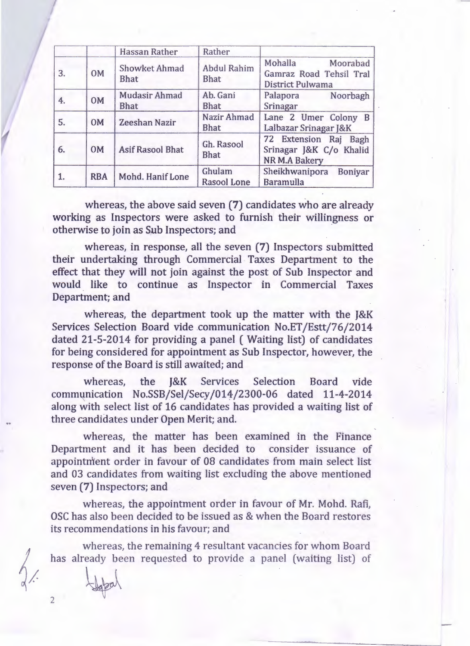|    |            | <b>Hassan Rather</b>                | Rather                            |                                                                             |
|----|------------|-------------------------------------|-----------------------------------|-----------------------------------------------------------------------------|
| 3. | <b>OM</b>  | Showket Ahmad<br><b>Bhat</b>        | <b>Abdul Rahim</b><br><b>Bhat</b> | Mohalla<br>Moorabad<br>Gamraz Road Tehsil Tral<br>District Pulwama          |
| 4. | <b>OM</b>  | <b>Mudasir Ahmad</b><br><b>Bhat</b> | Ab. Gani<br><b>Bhat</b>           | Palapora<br>Noorbagh<br>Srinagar                                            |
| 5. | <b>OM</b>  | <b>Zeeshan Nazir</b>                | Nazir Ahmad<br><b>Bhat</b>        | Lane 2 Umer Colony B<br>Lalbazar Srinagar J&K                               |
| 6. | <b>OM</b>  | <b>Asif Rasool Bhat</b>             | Gh. Rasool<br><b>Bhat</b>         | 72 Extension Raj<br>Bagh<br>Srinagar J&K C/o Khalid<br><b>NR M.A Bakery</b> |
|    | <b>RBA</b> | Mohd. Hanif Lone                    | Ghulam<br><b>Rasool Lone</b>      | Sheikhwanipora<br><b>Boniyar</b><br><b>Baramulla</b>                        |

whereas, the above said seven (7) candidates who are already working as Inspectors were asked to furnish their willingness or otherwise to join as Sub Inspectors; and ·

whereas, in response, all the seven (7) Inspectors submitted their undertaking through Commercial Taxes Department to the effect that they will not join against the post of Sub Inspector and would like to continue as Inspector in Commercial Taxes Department; and

whereas, the department took up the matter with the J&K Services Selection Board vide .communication No.ET /Estt/76/2014 dated 21-5-2014 for providing a panel (Waiting list) of candidates for being considered for appointment as Sub Inspector, however, the response of the Board is still awaited; and

whereas, the J&K Services Selection Board vide communication No.SSB/Sel/Secy/014/2300-06 dated 11-4-2014 along with select list of 16 candidates has provided a waiting list of three candidates under Open Merit; and.

whereas, the matter has been examined in the Finance Department and it has been decided to consider issuance of appointment order in favour of 08 candidates from main select list and 03 candidates from waiting list excluding the above mentioned seven (7) Inspectors; and

whereas, the appointment order in favour of Mr. Mohd. Rafi, OSC has also been decided to be issued as & when the Board restores its recommendations in his favour; and

has already been requested to provide a panel (waiting list) of whereas, the remaining 4 resultant vacancies for whom Board

2

 $\downarrow \downarrow \downarrow \downarrow$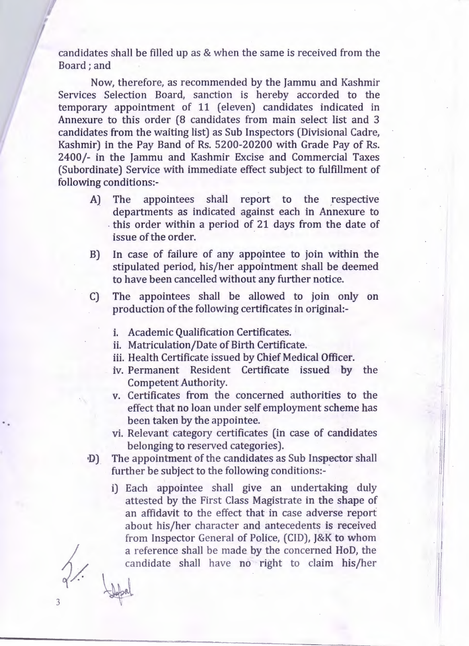candidates shall be filled up as & when the same is received from the Board; and

Now, therefore, as recommended by the Jammu and Kashmir Services Selection Board, sanction is hereby accorded to the temporary appointment of 11 (eleven) candidates indicated in Annexure to this order (8 candidates from main select list and 3 candidates from the waiting list) as Sub Inspectors (Divisional Cadre, Kashmir) in the Pay Band of Rs. 5200-20200 with Grade Pay of Rs. 2400/- in the Jammu and Kashmir Excise and Commercial Taxes (Subordinate) Service with immediate effect subject to fulfillment of following conditions:-

- A) The appointees shall report to the respective departments as indicated against each in Annexure to . this order within a period of 21 days from the date of issue of the order.
- B) In case of failure of any appointee to join within the stipulated period, his/her appointment shall be deemed to have been cancelled without any further notice.
- C) The appointees shall be allowed to join only on production of the following certificates in original:
	- i. Academic Qualification Certificates.
	- ii. Matriculation/Date of Birth Certificate.
	- iii. Health Certificate issued by Chief Medical Officer.
	- iv. Permanent Resident Certificate issued by the Competent Authority.
	- v. Certificates from the concerned authorities to the effect that no loan under self employment scheme has been taken by the appointee.
	- vi. Relevant category certificates (in case of candidates belonging to reserved categories).

I

'11

I

- D) The appointment of the candidates as Sub Inspector shall further be subject to the following conditions:
	- i) Each appointee shall give an undertaking duly attested by the First Class Magistrate in the shape of an affidavit to the effect that in case adverse report about his/her character and antecedents is received from Inspector General of Police, (CID), J&K to whom a reference shall be made by the concerned HoD, the candidate shall have no right to claim his/her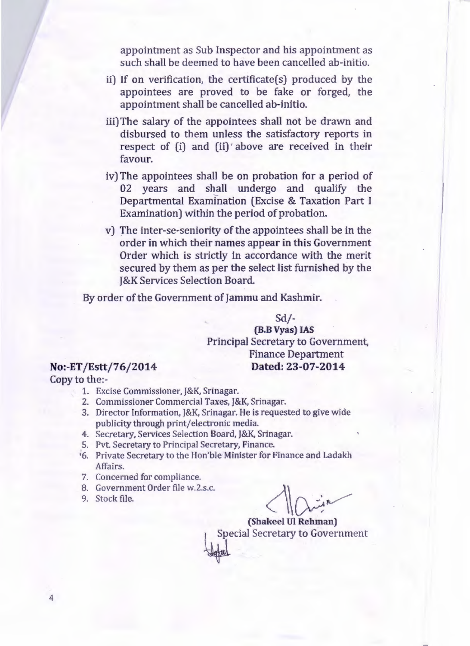appointment as Sub Inspector and his appointment as such shall be deemed to have been cancelled ab-initio.

- ii) If on verification, the certificate(s) produced by the appointees are proved to be fake or forged, the appointment shall be cancelled ab-initio.
- iii) The salary of the appointees shall not be drawn and disbursed to them unless the satisfactory reports in respect of (i) and (ii) above are received in their favour.
- iv) The appointees shall be on probation for a period of 02 years and shall undergo and qualify the Departmental Examination (Excise & Taxation Part I Examination) within the period of probation.
- v) The inter-se-seniority of the appointees shall be in the order in which their names appear in this Government Order which is strictly in accordance with the merit secured by them as per the select list furnished by the J&K Services Selection Board.

By order of the Government of Jammu and Kashmir.

 $Sd$  /-(B.B Vyas) IAS Principal Secretary to Government, Finance Department No:-ET /Estt/76/2014 Dated: 23-07-2014

Copy to the:-

- 1. Excise Commissioner, J&K, Srinagar.
- 2. Commissioner Commercial Taxes, J&K, Srinagar.
- 3. Director Information, J&K, Srinagar. He is requested to give wide publicity through print/electronic media.
- 4. Secretary, Services Selection Board, J&K, Srinagar.
- 5. Pvt. Secretary to Principal Secretary, Finance.
- '6. Private Secretary to the Hon'ble Minister for Finance and Ladakh Affairs.
- 7. Concerned for compliance.
- 8. Government Order file w.2.s.c.
- 9. Stock file.

(Shakeel UI Rehman) Special Secretary to Government

4